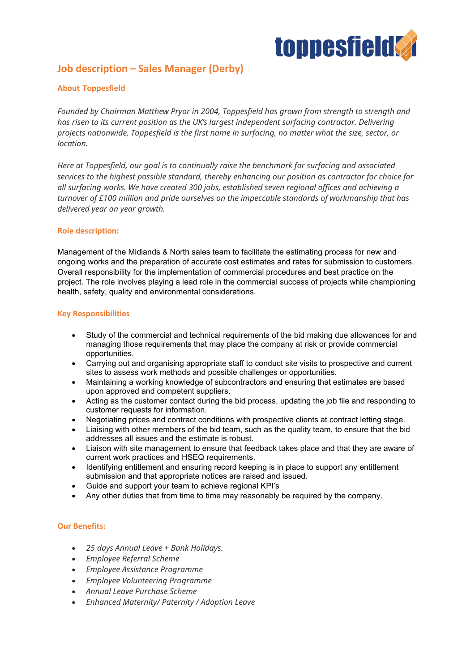

# **Job description – Sales Manager (Derby)**

# **About Toppesfield**

*Founded by Chairman Matthew Pryor in 2004, Toppesfield has grown from strength to strength and has risen to its current position as the UK's largest independent surfacing contractor. Delivering projects nationwide, Toppesfield is the first name in surfacing, no matter what the size, sector, or location.*

*Here at Toppesfield, our goal is to continually raise the benchmark for surfacing and associated services to the highest possible standard, thereby enhancing our position as contractor for choice for all surfacing works. We have created 300 jobs, established seven regional offices and achieving a turnover of £100 million and pride ourselves on the impeccable standards of workmanship that has delivered year on year growth.*

## **Role description:**

Management of the Midlands & North sales team to facilitate the estimating process for new and ongoing works and the preparation of accurate cost estimates and rates for submission to customers. Overall responsibility for the implementation of commercial procedures and best practice on the project. The role involves playing a lead role in the commercial success of projects while championing health, safety, quality and environmental considerations.

#### **Key Responsibilities**

- Study of the commercial and technical requirements of the bid making due allowances for and managing those requirements that may place the company at risk or provide commercial opportunities.
- Carrying out and organising appropriate staff to conduct site visits to prospective and current sites to assess work methods and possible challenges or opportunities.
- Maintaining a working knowledge of subcontractors and ensuring that estimates are based upon approved and competent suppliers.
- Acting as the customer contact during the bid process, updating the job file and responding to customer requests for information.
- Negotiating prices and contract conditions with prospective clients at contract letting stage.
- Liaising with other members of the bid team, such as the quality team, to ensure that the bid addresses all issues and the estimate is robust.
- Liaison with site management to ensure that feedback takes place and that they are aware of current work practices and HSEQ requirements.
- Identifying entitlement and ensuring record keeping is in place to support any entitlement submission and that appropriate notices are raised and issued.
- Guide and support your team to achieve regional KPI's
- Any other duties that from time to time may reasonably be required by the company.

## **Our Benefits:**

- *25 days Annual Leave + Bank Holidays.*
- *Employee Referral Scheme*
- *Employee Assistance Programme*
- *Employee Volunteering Programme*
- *Annual Leave Purchase Scheme*
- *Enhanced Maternity/ Paternity / Adoption Leave*